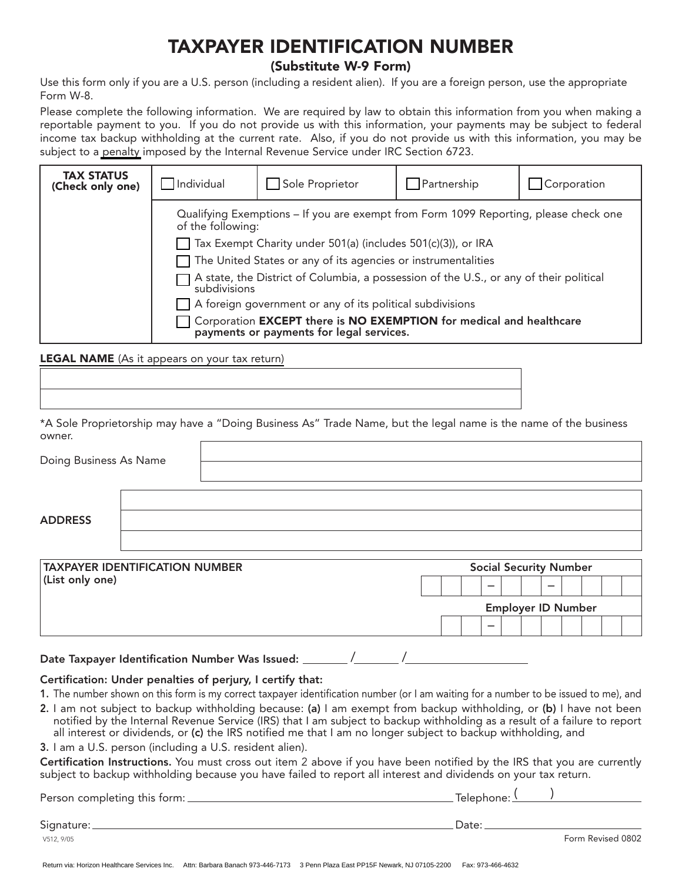# **TAXPAYER IDENTIFICATION NUMBER**

### **(Substitute W-9 Form)**

Use this form only if you are a U.S. person (including a resident alien). If you are a foreign person, use the appropriate Form W-8.

Please complete the following information. We are required by law to obtain this information from you when making a reportable payment to you. If you do not provide us with this information, your payments may be subject to federal income tax backup withholding at the current rate. Also, if you do not provide us with this information, you may be subject to a [penalty](http://testing.horizon-bcbsnj.com/w9_OnlineForm/penalties.html) imposed by the Internal Revenue Service under IRC Section 6723.

| <b>TAX STATUS</b><br>(Check only one) | Individual                                                                                                                                                                                                                                                                             | Sole Proprietor | Partnership | Corporation |  |  |  |  |
|---------------------------------------|----------------------------------------------------------------------------------------------------------------------------------------------------------------------------------------------------------------------------------------------------------------------------------------|-----------------|-------------|-------------|--|--|--|--|
|                                       | Qualifying Exemptions – If you are exempt from Form 1099 Reporting, please check one<br>of the following:                                                                                                                                                                              |                 |             |             |  |  |  |  |
|                                       | Tax Exempt Charity under 501(a) (includes 501(c)(3)), or IRA                                                                                                                                                                                                                           |                 |             |             |  |  |  |  |
|                                       | $\Box$ The United States or any of its agencies or instrumentalities                                                                                                                                                                                                                   |                 |             |             |  |  |  |  |
|                                       | A state, the District of Columbia, a possession of the U.S., or any of their political<br>subdivisions<br>A foreign government or any of its political subdivisions<br>Corporation EXCEPT there is NO EXEMPTION for medical and healthcare<br>payments or payments for legal services. |                 |             |             |  |  |  |  |
|                                       |                                                                                                                                                                                                                                                                                        |                 |             |             |  |  |  |  |
|                                       |                                                                                                                                                                                                                                                                                        |                 |             |             |  |  |  |  |

**LEGAL NAME** [\(As it appears on your tax return\)](http://testing.horizon-bcbsnj.com/w9_OnlineForm/legalname.html)

\*A Sole Proprietorship may have a "Doing Business As" Trade Name, but the legal name is the name of the business owner.

| Doing Business As Name                                   |  |  |  |                           |   |   |  |   |                               |  |  |  |
|----------------------------------------------------------|--|--|--|---------------------------|---|---|--|---|-------------------------------|--|--|--|
| <b>ADDRESS</b>                                           |  |  |  |                           |   |   |  |   |                               |  |  |  |
|                                                          |  |  |  |                           |   |   |  |   |                               |  |  |  |
| <b>TAXPAYER IDENTIFICATION NUMBER</b><br>(List only one) |  |  |  |                           | - |   |  | - | <b>Social Security Number</b> |  |  |  |
|                                                          |  |  |  | <b>Employer ID Number</b> |   |   |  |   |                               |  |  |  |
|                                                          |  |  |  |                           |   | - |  |   |                               |  |  |  |

Date Taxpayer Identification Number Was Issued: \_\_\_\_\_\_\_ /\_\_\_\_\_\_\_ /

#### Certification: Under penalties of perjury, I certify that:

- 1. The number shown on this form is my correct taxpayer identification number (or I am waiting for a number to be issued to me), and
- 2. I am not subject to backup withholding because: (a) I am exempt from backup withholding, or (b) I have not been notified by the Internal Revenue Service (IRS) that I am subject to backup withholding as a result of a failure to report all interest or dividends, or (c) the IRS notified me that I am no longer subject to backup withholding, and
- 3. I am a U.S. person (including a U.S. resident alien).

Certification Instructions. You must cross out item 2 above if you have been notified by the IRS that you are currently subject to backup withholding because you have failed to report all interest and dividends on your tax return.

| Person completing this form: $\_\_$ | Telephone: <u>\_</u> |                   |
|-------------------------------------|----------------------|-------------------|
| Signature: _                        | Date:                |                   |
| V512.9/05                           |                      | Form Revised 0802 |